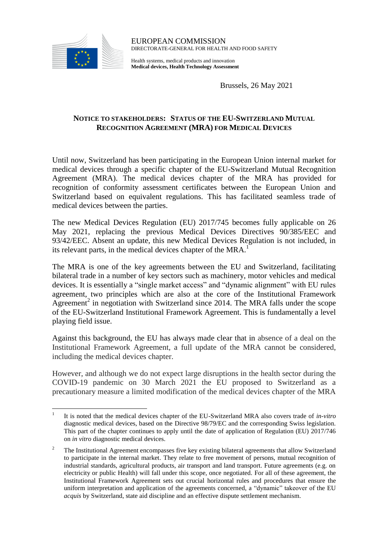

 $\overline{a}$ 

EUROPEAN COMMISSION DIRECTORATE-GENERAL FOR HEALTH AND FOOD SAFETY

Health systems, medical products and innovation **Medical devices, Health Technology Assessment**

Brussels, 26 May 2021

## **NOTICE TO STAKEHOLDERS: STATUS OF THE EU-SWITZERLAND MUTUAL RECOGNITION AGREEMENT (MRA) FOR MEDICAL DEVICES**

Until now, Switzerland has been participating in the European Union internal market for medical devices through a specific chapter of the EU-Switzerland Mutual Recognition Agreement (MRA). The medical devices chapter of the MRA has provided for recognition of conformity assessment certificates between the European Union and Switzerland based on equivalent regulations. This has facilitated seamless trade of medical devices between the parties.

The new Medical Devices Regulation (EU) 2017/745 becomes fully applicable on 26 May 2021, replacing the previous Medical Devices Directives 90/385/EEC and 93/42/EEC. Absent an update, this new Medical Devices Regulation is not included, in its relevant parts, in the medical devices chapter of the MRA.<sup>1</sup>

The MRA is one of the key agreements between the EU and Switzerland, facilitating bilateral trade in a number of key sectors such as machinery, motor vehicles and medical devices. It is essentially a "single market access" and "dynamic alignment" with EU rules agreement, two principles which are also at the core of the Institutional Framework Agreement<sup>2</sup> in negotiation with Switzerland since 2014. The MRA falls under the scope of the EU-Switzerland Institutional Framework Agreement. This is fundamentally a level playing field issue.

Against this background, the EU has always made clear that in absence of a deal on the Institutional Framework Agreement, a full update of the MRA cannot be considered, including the medical devices chapter.

However, and although we do not expect large disruptions in the health sector during the COVID-19 pandemic on 30 March 2021 the EU proposed to Switzerland as a precautionary measure a limited modification of the medical devices chapter of the MRA

<sup>1</sup> It is noted that the medical devices chapter of the EU-Switzerland MRA also covers trade of *in-vitro* diagnostic medical devices, based on the Directive 98/79/EC and the corresponding Swiss legislation. This part of the chapter continues to apply until the date of application of Regulation (EU) 2017/746 on *in vitro* diagnostic medical devices.

<sup>&</sup>lt;sup>2</sup> The Institutional Agreement encompasses five key existing bilateral agreements that allow Switzerland to participate in the internal market. They relate to free movement of persons, mutual recognition of industrial standards, agricultural products, air transport and land transport. Future agreements (e.g. on electricity or public Health) will fall under this scope, once negotiated. For all of these agreement, the Institutional Framework Agreement sets out crucial horizontal rules and procedures that ensure the uniform interpretation and application of the agreements concerned, a "dynamic" takeover of the EU *acquis* by Switzerland, state aid discipline and an effective dispute settlement mechanism.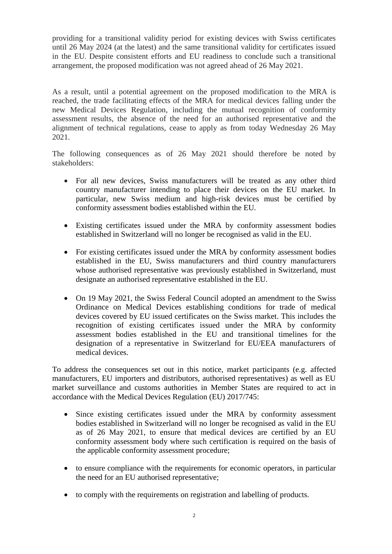providing for a transitional validity period for existing devices with Swiss certificates until 26 May 2024 (at the latest) and the same transitional validity for certificates issued in the EU. Despite consistent efforts and EU readiness to conclude such a transitional arrangement, the proposed modification was not agreed ahead of 26 May 2021.

As a result, until a potential agreement on the proposed modification to the MRA is reached, the trade facilitating effects of the MRA for medical devices falling under the new Medical Devices Regulation, including the mutual recognition of conformity assessment results, the absence of the need for an authorised representative and the alignment of technical regulations, cease to apply as from today Wednesday 26 May 2021.

The following consequences as of 26 May 2021 should therefore be noted by stakeholders:

- For all new devices, Swiss manufacturers will be treated as any other third country manufacturer intending to place their devices on the EU market. In particular, new Swiss medium and high-risk devices must be certified by conformity assessment bodies established within the EU.
- Existing certificates issued under the MRA by conformity assessment bodies established in Switzerland will no longer be recognised as valid in the EU.
- For existing certificates issued under the MRA by conformity assessment bodies established in the EU, Swiss manufacturers and third country manufacturers whose authorised representative was previously established in Switzerland, must designate an authorised representative established in the EU.
- On 19 May 2021, the Swiss Federal Council adopted an amendment to the Swiss Ordinance on Medical Devices establishing conditions for trade of medical devices covered by EU issued certificates on the Swiss market. This includes the recognition of existing certificates issued under the MRA by conformity assessment bodies established in the EU and transitional timelines for the designation of a representative in Switzerland for EU/EEA manufacturers of medical devices.

To address the consequences set out in this notice, market participants (e.g. affected manufacturers, EU importers and distributors, authorised representatives) as well as EU market surveillance and customs authorities in Member States are required to act in accordance with the Medical Devices Regulation (EU) 2017/745:

- Since existing certificates issued under the MRA by conformity assessment bodies established in Switzerland will no longer be recognised as valid in the EU as of 26 May 2021, to ensure that medical devices are certified by an EU conformity assessment body where such certification is required on the basis of the applicable conformity assessment procedure;
- to ensure compliance with the requirements for economic operators, in particular the need for an EU authorised representative;
- to comply with the requirements on registration and labelling of products.